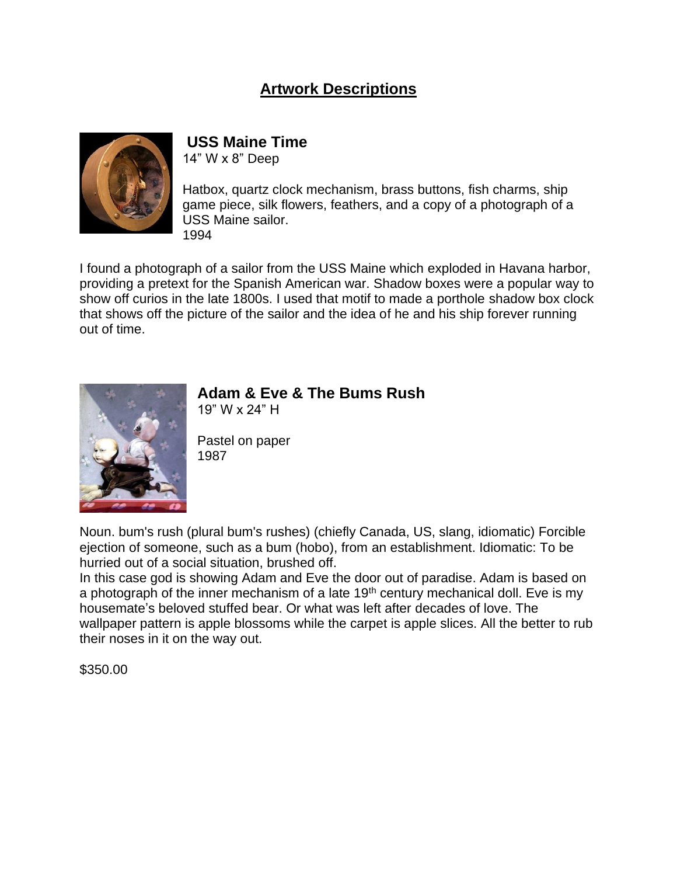### **Artwork Descriptions**



### **USS Maine Time**

14" W x 8" Deep

Hatbox, quartz clock mechanism, brass buttons, fish charms, ship game piece, silk flowers, feathers, and a copy of a photograph of a USS Maine sailor. 1994

I found a photograph of a sailor from the USS Maine which exploded in Havana harbor, providing a pretext for the Spanish American war. Shadow boxes were a popular way to show off curios in the late 1800s. I used that motif to made a porthole shadow box clock that shows off the picture of the sailor and the idea of he and his ship forever running out of time.



## **Adam & Eve & The Bums Rush**

19" W x 24" H

Pastel on paper 1987

Noun. bum's rush (plural bum's rushes) (chiefly Canada, US, slang, idiomatic) Forcible ejection of someone, such as a bum (hobo), from an establishment. Idiomatic: To be hurried out of a social situation, brushed off.

In this case god is showing Adam and Eve the door out of paradise. Adam is based on a photograph of the inner mechanism of a late 19<sup>th</sup> century mechanical doll. Eve is my housemate's beloved stuffed bear. Or what was left after decades of love. The wallpaper pattern is apple blossoms while the carpet is apple slices. All the better to rub their noses in it on the way out.

\$350.00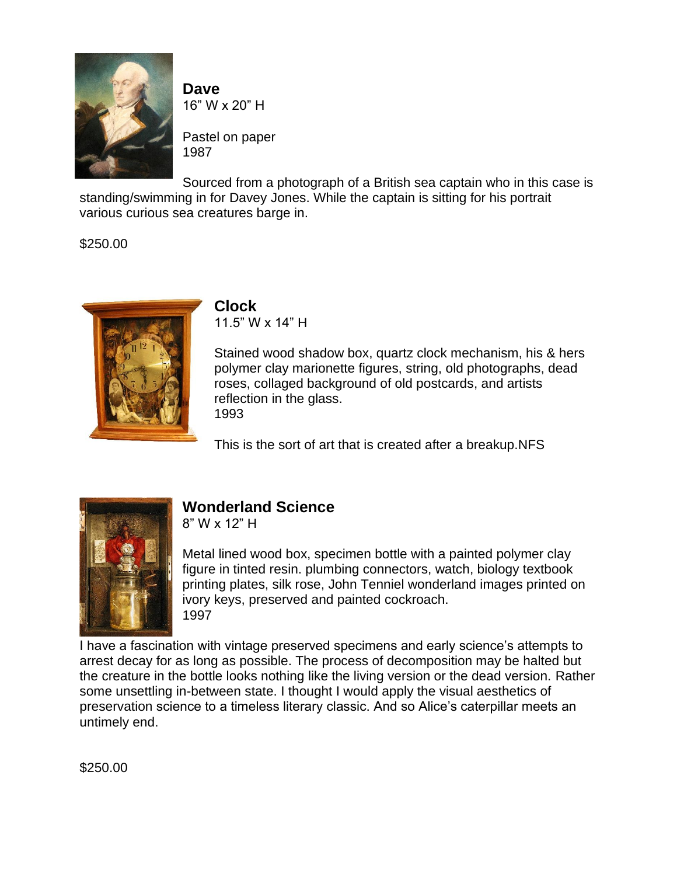

**Dave** 16" W x 20" H

Pastel on paper 1987

Sourced from a photograph of a British sea captain who in this case is standing/swimming in for Davey Jones. While the captain is sitting for his portrait various curious sea creatures barge in.

\$250.00



# **Clock**

11.5" W x 14" H

Stained wood shadow box, quartz clock mechanism, his & hers polymer clay marionette figures, string, old photographs, dead roses, collaged background of old postcards, and artists reflection in the glass. 1993

This is the sort of art that is created after a breakup.NFS



# **Wonderland Science**

8" W x 12" H

Metal lined wood box, specimen bottle with a painted polymer clay figure in tinted resin. plumbing connectors, watch, biology textbook printing plates, silk rose, John Tenniel wonderland images printed on ivory keys, preserved and painted cockroach. 1997

I have a fascination with vintage preserved specimens and early science's attempts to arrest decay for as long as possible. The process of decomposition may be halted but the creature in the bottle looks nothing like the living version or the dead version. Rather some unsettling in-between state. I thought I would apply the visual aesthetics of preservation science to a timeless literary classic. And so Alice's caterpillar meets an untimely end.

\$250.00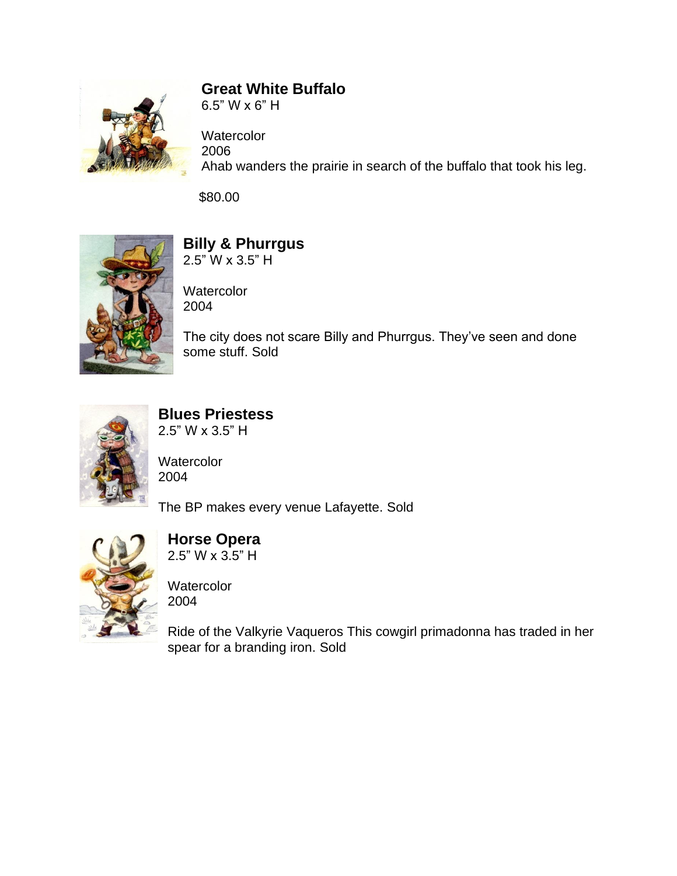

## **Great White Buffalo**

6.5" W x 6" H

**Watercolor** 2006 Ahab wanders the prairie in search of the buffalo that took his leg.

\$80.00



# **Billy & Phurrgus**

2.5" W x 3.5" H

**Watercolor** 2004

The city does not scare Billy and Phurrgus. They've seen and done some stuff. Sold



# **Blues Priestess**

2.5" W x 3.5" H

**Watercolor** 2004

The BP makes every venue Lafayette. Sold



#### **Horse Opera** 2.5" W x 3.5" H

**Watercolor** 2004

Ride of the Valkyrie Vaqueros This cowgirl primadonna has traded in her spear for a branding iron. Sold